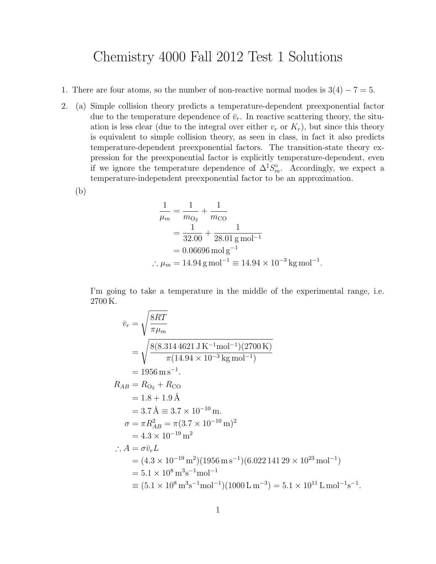## Chemistry 4000 Fall 2012 Test 1 Solutions

- 1. There are four atoms, so the number of non-reactive normal modes is  $3(4) 7 = 5$ .
- 2. (a) Simple collision theory predicts a temperature-dependent preexponential factor due to the temperature dependence of  $\bar{v}_r$ . In reactive scattering theory, the situation is less clear (due to the integral over either  $v_r$  or  $K_r$ ), but since this theory is equivalent to simple collision theory, as seen in class, in fact it also predicts temperature-dependent preexponential factors. The transition-state theory expression for the preexponential factor is explicitly temperature-dependent, even if we ignore the temperature dependence of  $\Delta^{\ddagger} S_m^{\circ}$ . Accordingly, we expect a temperature-independent preexponential factor to be an approximation.

(b)

$$
\frac{1}{\mu_m} = \frac{1}{m_{\text{O}_2}} + \frac{1}{m_{\text{CO}}}
$$
  
=  $\frac{1}{32.00} + \frac{1}{28.01 \text{ g mol}^{-1}}$   
= 0.06696 mol g<sup>-1</sup>  
 $\therefore \mu_m = 14.94 \text{ g mol}^{-1} \equiv 14.94 \times 10^{-3} \text{ kg mol}^{-1}.$ 

I'm going to take a temperature in the middle of the experimental range, i.e. 2700 K.

$$
\bar{v}_r = \sqrt{\frac{8RT}{\pi \mu_m}}
$$
\n
$$
= \sqrt{\frac{8(8.3144621 \text{ J K}^{-1} \text{mol}^{-1})(2700 \text{ K})}{\pi (14.94 \times 10^{-3} \text{ kg mol}^{-1})}}
$$
\n
$$
= 1956 \text{ m s}^{-1}.
$$
\n
$$
R_{AB} = R_{O_2} + R_{CO}
$$
\n
$$
= 1.8 + 1.9 \text{ Å}
$$
\n
$$
= 3.7 \text{ Å} = 3.7 \times 10^{-10} \text{ m}.
$$
\n
$$
\sigma = \pi R_{AB}^2 = \pi (3.7 \times 10^{-10} \text{ m})^2
$$
\n
$$
= 4.3 \times 10^{-19} \text{ m}^2
$$
\n
$$
\therefore A = \sigma \bar{v}_r L
$$
\n
$$
= (4.3 \times 10^{-19} \text{ m}^2)(1956 \text{ m s}^{-1})(6.02214129 \times 10^{23} \text{ mol}^{-1})
$$
\n
$$
= 5.1 \times 10^8 \text{ m}^3 \text{s}^{-1} \text{mol}^{-1} (1000 \text{ L m}^{-3}) = 5.1 \times 10^{11} \text{ L mol}^{-1} \text{s}^{-1}.
$$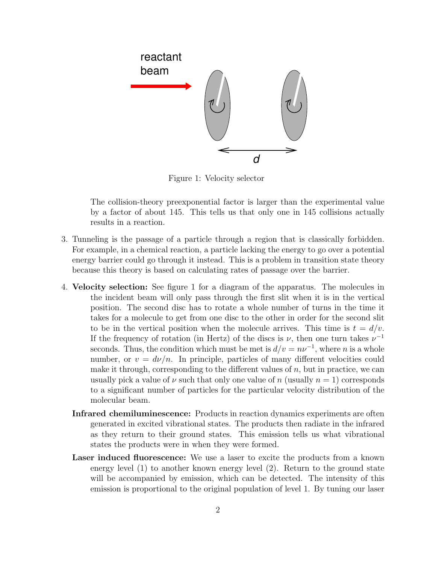

Figure 1: Velocity selector

The collision-theory preexponential factor is larger than the experimental value by a factor of about 145. This tells us that only one in 145 collisions actually results in a reaction.

- 3. Tunneling is the passage of a particle through a region that is classically forbidden. For example, in a chemical reaction, a particle lacking the energy to go over a potential energy barrier could go through it instead. This is a problem in transition state theory because this theory is based on calculating rates of passage over the barrier.
- 4. Velocity selection: See figure 1 for a diagram of the apparatus. The molecules in the incident beam will only pass through the first slit when it is in the vertical position. The second disc has to rotate a whole number of turns in the time it takes for a molecule to get from one disc to the other in order for the second slit to be in the vertical position when the molecule arrives. This time is  $t = d/v$ . If the frequency of rotation (in Hertz) of the discs is  $\nu$ , then one turn takes  $\nu^{-1}$ seconds. Thus, the condition which must be met is  $d/v = nv^{-1}$ , where n is a whole number, or  $v = d\nu/n$ . In principle, particles of many different velocities could make it through, corresponding to the different values of  $n$ , but in practice, we can usually pick a value of  $\nu$  such that only one value of n (usually  $n = 1$ ) corresponds to a significant number of particles for the particular velocity distribution of the molecular beam.
	- Infrared chemiluminescence: Products in reaction dynamics experiments are often generated in excited vibrational states. The products then radiate in the infrared as they return to their ground states. This emission tells us what vibrational states the products were in when they were formed.
	- Laser induced fluorescence: We use a laser to excite the products from a known energy level (1) to another known energy level (2). Return to the ground state will be accompanied by emission, which can be detected. The intensity of this emission is proportional to the original population of level 1. By tuning our laser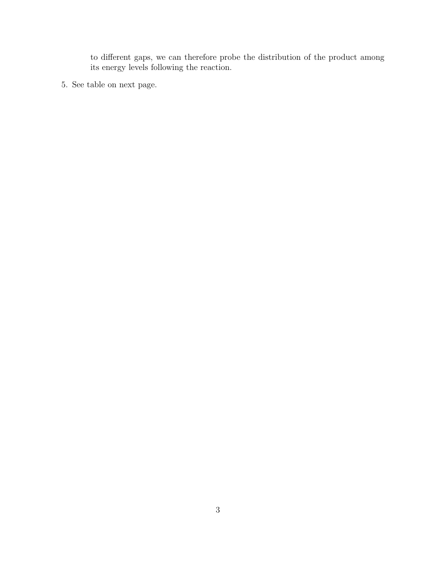to different gaps, we can therefore probe the distribution of the product among its energy levels following the reaction.

5. See table on next page.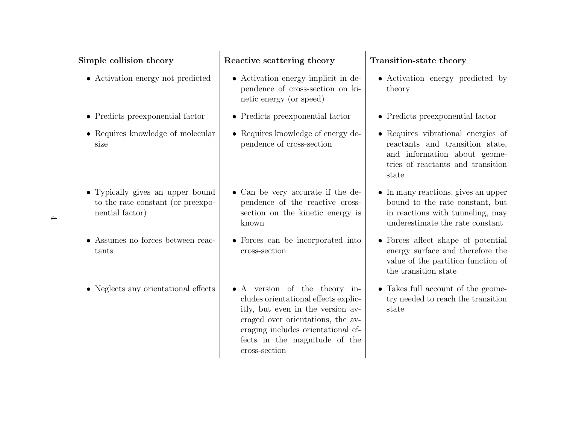| Simple collision theory                                                                  | Reactive scattering theory                                                                                                                                                                                                              | Transition-state theory                                                                                                                               |
|------------------------------------------------------------------------------------------|-----------------------------------------------------------------------------------------------------------------------------------------------------------------------------------------------------------------------------------------|-------------------------------------------------------------------------------------------------------------------------------------------------------|
| $\bullet\,$ Activation energy not predicted                                              | • Activation energy implicit in de-<br>pendence of cross-section on ki-<br>netic energy (or speed)                                                                                                                                      | • Activation energy predicted by<br>theory                                                                                                            |
| • Predicts preexponential factor                                                         | • Predicts preexponential factor                                                                                                                                                                                                        | • Predicts preexponential factor                                                                                                                      |
| • Requires knowledge of molecular<br>size                                                | • Requires knowledge of energy de-<br>pendence of cross-section                                                                                                                                                                         | • Requires vibrational energies of<br>reactants and transition state,<br>and information about geome-<br>tries of reactants and transition<br>state   |
| • Typically gives an upper bound<br>to the rate constant (or preexpo-<br>nential factor) | • Can be very accurate if the de-<br>pendence of the reactive cross-<br>section on the kinetic energy is<br>known                                                                                                                       | $\bullet$ In many reactions, gives an upper<br>bound to the rate constant, but<br>in reactions with tunneling, may<br>underestimate the rate constant |
| Assumes no forces between reac-<br>tants                                                 | • Forces can be incorporated into<br>cross-section                                                                                                                                                                                      | • Forces affect shape of potential<br>energy surface and therefore the<br>value of the partition function of<br>the transition state                  |
| • Neglects any orientational effects                                                     | • A version of the theory in-<br>cludes orientational effects explic-<br>itly, but even in the version av-<br>eraged over orientations, the av-<br>eraging includes orientational ef-<br>fects in the magnitude of the<br>cross-section | • Takes full account of the geome-<br>try needed to reach the transition<br>state                                                                     |

 $\rightarrow$